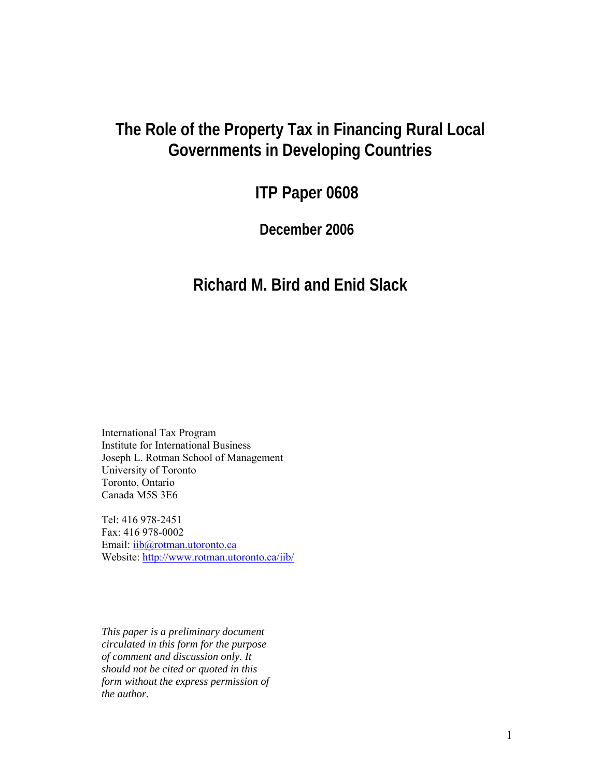# **The Role of the Property Tax in Financing Rural Local Governments in Developing Countries**

# **ITP Paper 0608**

**December 2006** 

# **Richard M. Bird and Enid Slack**

International Tax Program Institute for International Business Joseph L. Rotman School of Management University of Toronto Toronto, Ontario Canada M5S 3E6

Tel: 416 978-2451 Fax: 416 978-0002 Email: iib@rotman.utoronto.ca Website: http://www.rotman.utoronto.ca/iib/

*This paper is a preliminary document circulated in this form for the purpose of comment and discussion only. It should not be cited or quoted in this form without the express permission of the author.*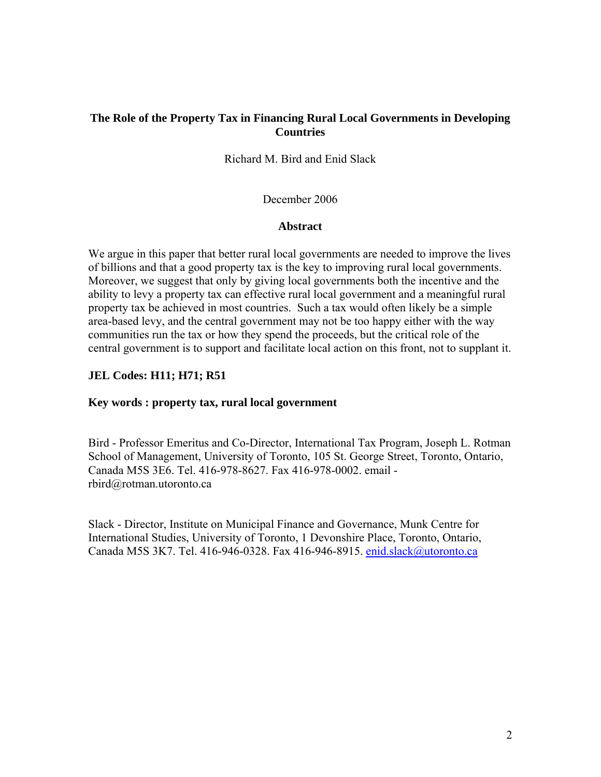# **The Role of the Property Tax in Financing Rural Local Governments in Developing Countries**

Richard M. Bird and Enid Slack

December 2006

## **Abstract**

We argue in this paper that better rural local governments are needed to improve the lives of billions and that a good property tax is the key to improving rural local governments. Moreover, we suggest that only by giving local governments both the incentive and the ability to levy a property tax can effective rural local government and a meaningful rural property tax be achieved in most countries. Such a tax would often likely be a simple area-based levy, and the central government may not be too happy either with the way communities run the tax or how they spend the proceeds, but the critical role of the central government is to support and facilitate local action on this front, not to supplant it.

## **JEL Codes: H11; H71; R51**

## **Key words : property tax, rural local government**

Bird - Professor Emeritus and Co-Director, International Tax Program, Joseph L. Rotman School of Management, University of Toronto, 105 St. George Street, Toronto, Ontario, Canada M5S 3E6. Tel. 416-978-8627. Fax 416-978-0002. email rbird@rotman.utoronto.ca

Slack - Director, Institute on Municipal Finance and Governance, Munk Centre for International Studies, University of Toronto, 1 Devonshire Place, Toronto, Ontario, Canada M5S 3K7. Tel. 416-946-0328. Fax 416-946-8915. [enid.slack@utoronto.ca](mailto:enid.slack@utoronto.ca)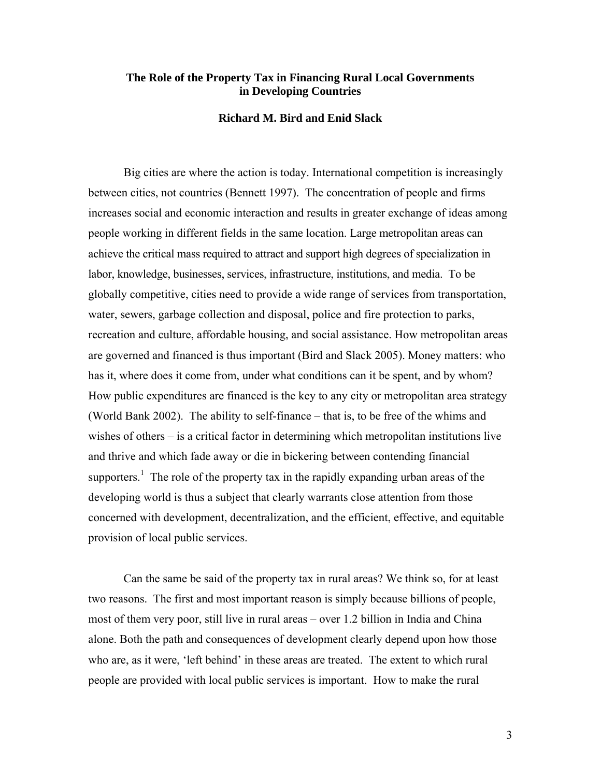## **The Role of the Property Tax in Financing Rural Local Governments in Developing Countries**

#### **Richard M. Bird and Enid Slack**

Big cities are where the action is today. International competition is increasingly between cities, not countries (Bennett 1997). The concentration of people and firms increases social and economic interaction and results in greater exchange of ideas among people working in different fields in the same location. Large metropolitan areas can achieve the critical mass required to attract and support high degrees of specialization in labor, knowledge, businesses, services, infrastructure, institutions, and media. To be globally competitive, cities need to provide a wide range of services from transportation, water, sewers, garbage collection and disposal, police and fire protection to parks, recreation and culture, affordable housing, and social assistance. How metropolitan areas are governed and financed is thus important (Bird and Slack 2005). Money matters: who has it, where does it come from, under what conditions can it be spent, and by whom? How public expenditures are financed is the key to any city or metropolitan area strategy (World Bank 2002). The ability to self-finance – that is, to be free of the whims and wishes of others – is a critical factor in determining which metropolitan institutions live and thrive and which fade away or die in bickering between contending financial supporters.<sup>1</sup> The role of the property tax in the rapidly expanding urban areas of the developing world is thus a subject that clearly warrants close attention from those concerned with development, decentralization, and the efficient, effective, and equitable provision of local public services.

Can the same be said of the property tax in rural areas? We think so, for at least two reasons. The first and most important reason is simply because billions of people, most of them very poor, still live in rural areas – over 1.2 billion in India and China alone. Both the path and consequences of development clearly depend upon how those who are, as it were, 'left behind' in these areas are treated. The extent to which rural people are provided with local public services is important. How to make the rural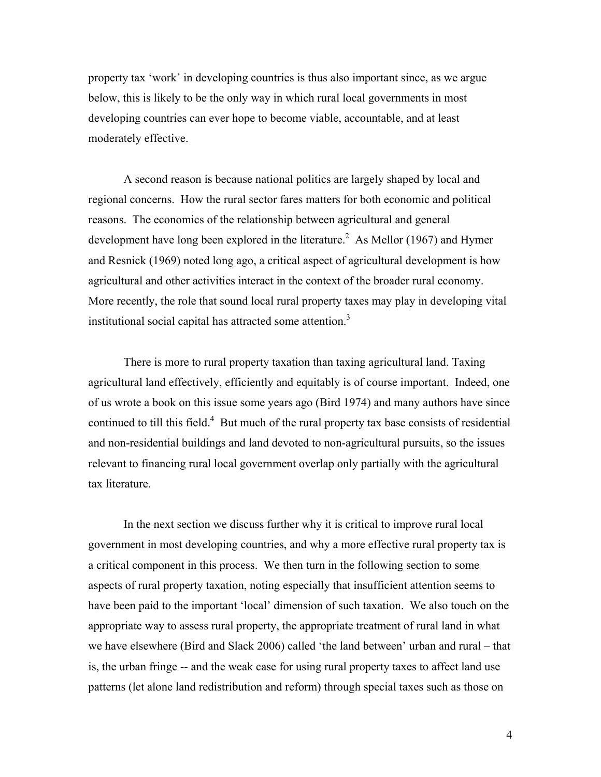property tax 'work' in developing countries is thus also important since, as we argue below, this is likely to be the only way in which rural local governments in most developing countries can ever hope to become viable, accountable, and at least moderately effective.

A second reason is because national politics are largely shaped by local and regional concerns. How the rural sector fares matters for both economic and political reasons. The economics of the relationship between agricultural and general development have long been explored in the literature.<sup>[2](#page-32-1)</sup> As Mellor (1967) and Hymer and Resnick (1969) noted long ago, a critical aspect of agricultural development is how agricultural and other activities interact in the context of the broader rural economy. More recently, the role that sound local rural property taxes may play in developing vital institutional social capital has attracted some attention.<sup>3</sup>

There is more to rural property taxation than taxing agricultural land. Taxing agricultural land effectively, efficiently and equitably is of course important. Indeed, one of us wrote a book on this issue some years ago (Bird 1974) and many authors have since continued to till this field.<sup>[4](#page-32-3)</sup> But much of the rural property tax base consists of residential and non-residential buildings and land devoted to non-agricultural pursuits, so the issues relevant to financing rural local government overlap only partially with the agricultural tax literature.

In the next section we discuss further why it is critical to improve rural local government in most developing countries, and why a more effective rural property tax is a critical component in this process. We then turn in the following section to some aspects of rural property taxation, noting especially that insufficient attention seems to have been paid to the important 'local' dimension of such taxation. We also touch on the appropriate way to assess rural property, the appropriate treatment of rural land in what we have elsewhere (Bird and Slack 2006) called 'the land between' urban and rural – that is, the urban fringe -- and the weak case for using rural property taxes to affect land use patterns (let alone land redistribution and reform) through special taxes such as those on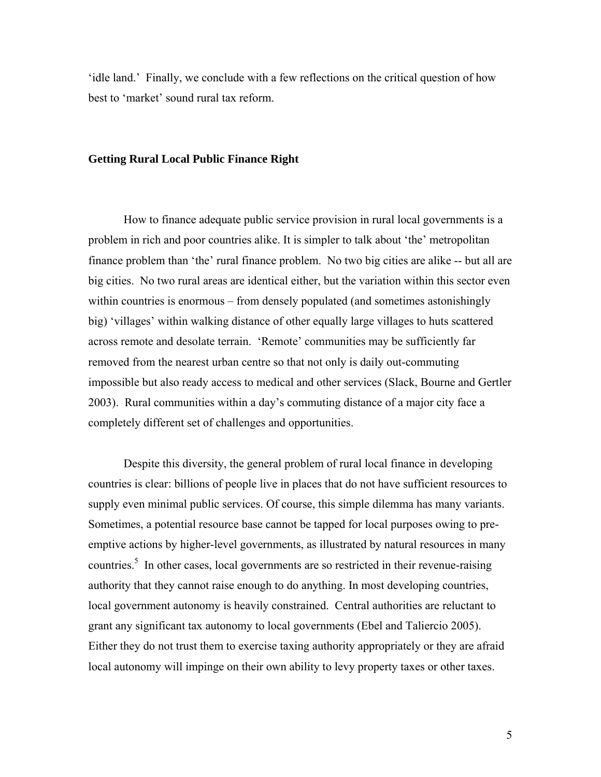'idle land.' Finally, we conclude with a few reflections on the critical question of how best to 'market' sound rural tax reform.

#### **Getting Rural Local Public Finance Right**

How to finance adequate public service provision in rural local governments is a problem in rich and poor countries alike. It is simpler to talk about 'the' metropolitan finance problem than 'the' rural finance problem. No two big cities are alike -- but all are big cities. No two rural areas are identical either, but the variation within this sector even within countries is enormous – from densely populated (and sometimes astonishingly big) 'villages' within walking distance of other equally large villages to huts scattered across remote and desolate terrain. 'Remote' communities may be sufficiently far removed from the nearest urban centre so that not only is daily out-commuting impossible but also ready access to medical and other services (Slack, Bourne and Gertler 2003). Rural communities within a day's commuting distance of a major city face a completely different set of challenges and opportunities.

Despite this diversity, the general problem of rural local finance in developing countries is clear: billions of people live in places that do not have sufficient resources to supply even minimal public services. Of course, this simple dilemma has many variants. Sometimes, a potential resource base cannot be tapped for local purposes owing to preemptive actions by higher-level governments, as illustrated by natural resources in many countries.<sup>5</sup> In other cases, local governments are so restricted in their revenue-raising authority that they cannot raise enough to do anything. In most developing countries, local government autonomy is heavily constrained. Central authorities are reluctant to grant any significant tax autonomy to local governments (Ebel and Taliercio 2005). Either they do not trust them to exercise taxing authority appropriately or they are afraid local autonomy will impinge on their own ability to levy property taxes or other taxes.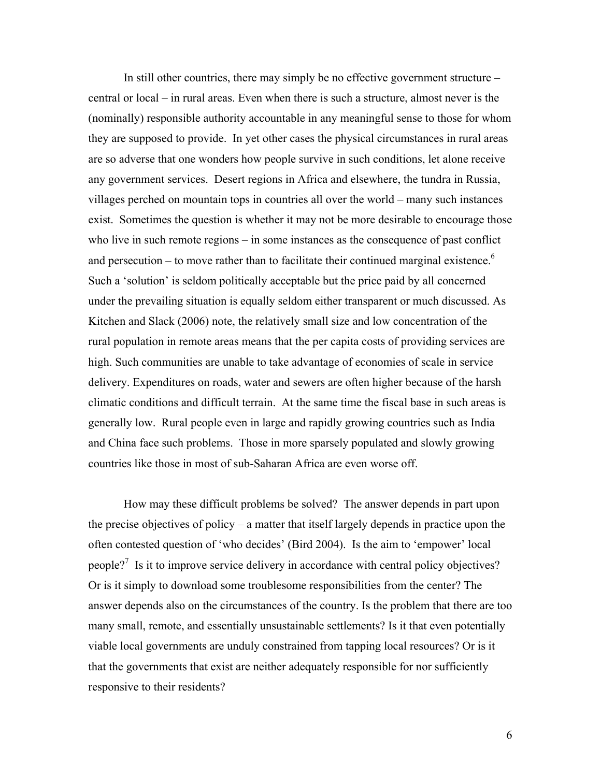In still other countries, there may simply be no effective government structure – central or local – in rural areas. Even when there is such a structure, almost never is the (nominally) responsible authority accountable in any meaningful sense to those for whom they are supposed to provide. In yet other cases the physical circumstances in rural areas are so adverse that one wonders how people survive in such conditions, let alone receive any government services. Desert regions in Africa and elsewhere, the tundra in Russia, villages perched on mountain tops in countries all over the world – many such instances exist. Sometimes the question is whether it may not be more desirable to encourage those who live in such remote regions – in some instances as the consequence of past conflict and persecution – to move rather than to facilitate their continued marginal existence.<sup>6</sup> Such a 'solution' is seldom politically acceptable but the price paid by all concerned under the prevailing situation is equally seldom either transparent or much discussed. As Kitchen and Slack (2006) note, the relatively small size and low concentration of the rural population in remote areas means that the per capita costs of providing services are high. Such communities are unable to take advantage of economies of scale in service delivery. Expenditures on roads, water and sewers are often higher because of the harsh climatic conditions and difficult terrain. At the same time the fiscal base in such areas is generally low. Rural people even in large and rapidly growing countries such as India and China face such problems. Those in more sparsely populated and slowly growing countries like those in most of sub-Saharan Africa are even worse off.

How may these difficult problems be solved? The answer depends in part upon the precise objectives of policy – a matter that itself largely depends in practice upon the often contested question of 'who decides' (Bird 2004). Is the aim to 'empower' local people?<sup>7</sup>Is it to improve service delivery in accordance with central policy objectives? Or is it simply to download some troublesome responsibilities from the center? The answer depends also on the circumstances of the country. Is the problem that there are too many small, remote, and essentially unsustainable settlements? Is it that even potentially viable local governments are unduly constrained from tapping local resources? Or is it that the governments that exist are neither adequately responsible for nor sufficiently responsive to their residents?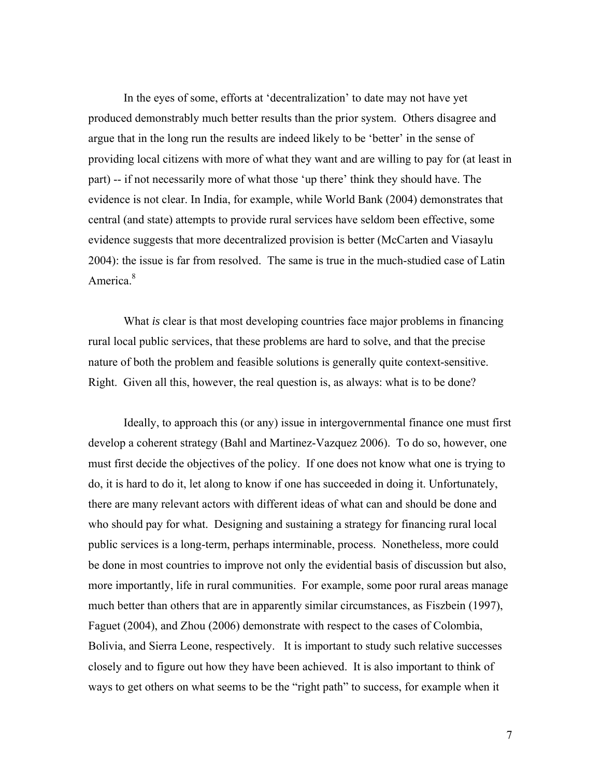In the eyes of some, efforts at 'decentralization' to date may not have yet produced demonstrably much better results than the prior system. Others disagree and argue that in the long run the results are indeed likely to be 'better' in the sense of providing local citizens with more of what they want and are willing to pay for (at least in part) -- if not necessarily more of what those 'up there' think they should have. The evidence is not clear. In India, for example, while World Bank (2004) demonstrates that central (and state) attempts to provide rural services have seldom been effective, some evidence suggests that more decentralized provision is better (McCarten and Viasaylu 2004): the issue is far from resolved. The same is true in the much-studied case of Latin America.<sup>8</sup>

 What *is* clear is that most developing countries face major problems in financing rural local public services, that these problems are hard to solve, and that the precise nature of both the problem and feasible solutions is generally quite context-sensitive. Right. Given all this, however, the real question is, as always: what is to be done?

Ideally, to approach this (or any) issue in intergovernmental finance one must first develop a coherent strategy (Bahl and Martinez-Vazquez 2006). To do so, however, one must first decide the objectives of the policy. If one does not know what one is trying to do, it is hard to do it, let along to know if one has succeeded in doing it. Unfortunately, there are many relevant actors with different ideas of what can and should be done and who should pay for what. Designing and sustaining a strategy for financing rural local public services is a long-term, perhaps interminable, process. Nonetheless, more could be done in most countries to improve not only the evidential basis of discussion but also, more importantly, life in rural communities. For example, some poor rural areas manage much better than others that are in apparently similar circumstances, as Fiszbein (1997), Faguet (2004), and Zhou (2006) demonstrate with respect to the cases of Colombia, Bolivia, and Sierra Leone, respectively. It is important to study such relative successes closely and to figure out how they have been achieved. It is also important to think of ways to get others on what seems to be the "right path" to success, for example when it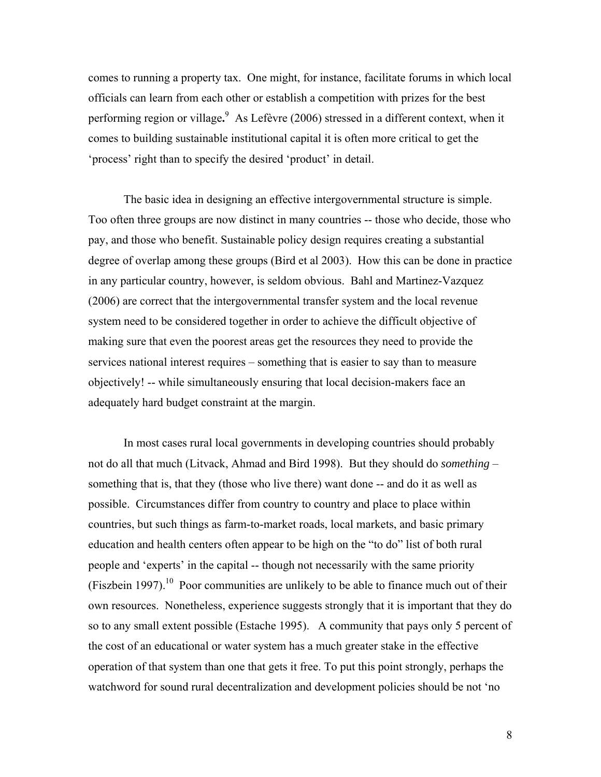comes to running a property tax. One might, for instance, facilitate forums in which local officials can learn from each other or establish a competition with prizes for the best performing region or village**.** [9](#page-32-8) As Lefèvre (2006) stressed in a different context, when it comes to building sustainable institutional capital it is often more critical to get the 'process' right than to specify the desired 'product' in detail.

The basic idea in designing an effective intergovernmental structure is simple. Too often three groups are now distinct in many countries -- those who decide, those who pay, and those who benefit. Sustainable policy design requires creating a substantial degree of overlap among these groups (Bird et al 2003). How this can be done in practice in any particular country, however, is seldom obvious. Bahl and Martinez-Vazquez (2006) are correct that the intergovernmental transfer system and the local revenue system need to be considered together in order to achieve the difficult objective of making sure that even the poorest areas get the resources they need to provide the services national interest requires – something that is easier to say than to measure objectively! -- while simultaneously ensuring that local decision-makers face an adequately hard budget constraint at the margin.

In most cases rural local governments in developing countries should probably not do all that much (Litvack, Ahmad and Bird 1998). But they should do *something* – something that is, that they (those who live there) want done -- and do it as well as possible. Circumstances differ from country to country and place to place within countries, but such things as farm-to-market roads, local markets, and basic primary education and health centers often appear to be high on the "to do" list of both rural people and 'experts' in the capital -- though not necessarily with the same priority  $(Fiszbein 1997)$ <sup>10</sup> Poor communities are unlikely to be able to finance much out of their own resources. Nonetheless, experience suggests strongly that it is important that they do so to any small extent possible (Estache 1995). A community that pays only 5 percent of the cost of an educational or water system has a much greater stake in the effective operation of that system than one that gets it free. To put this point strongly, perhaps the watchword for sound rural decentralization and development policies should be not 'no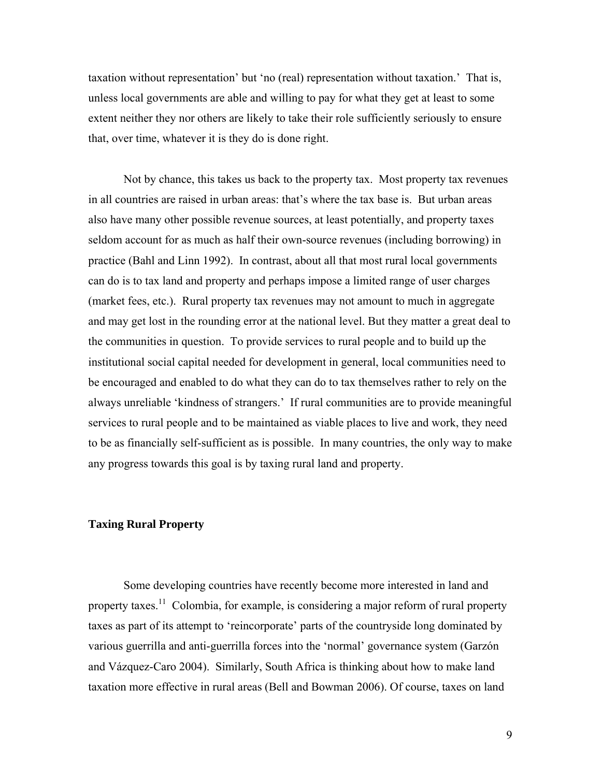taxation without representation' but 'no (real) representation without taxation.' That is, unless local governments are able and willing to pay for what they get at least to some extent neither they nor others are likely to take their role sufficiently seriously to ensure that, over time, whatever it is they do is done right.

Not by chance, this takes us back to the property tax. Most property tax revenues in all countries are raised in urban areas: that's where the tax base is. But urban areas also have many other possible revenue sources, at least potentially, and property taxes seldom account for as much as half their own-source revenues (including borrowing) in practice (Bahl and Linn 1992). In contrast, about all that most rural local governments can do is to tax land and property and perhaps impose a limited range of user charges (market fees, etc.). Rural property tax revenues may not amount to much in aggregate and may get lost in the rounding error at the national level. But they matter a great deal to the communities in question. To provide services to rural people and to build up the institutional social capital needed for development in general, local communities need to be encouraged and enabled to do what they can do to tax themselves rather to rely on the always unreliable 'kindness of strangers.' If rural communities are to provide meaningful services to rural people and to be maintained as viable places to live and work, they need to be as financially self-sufficient as is possible. In many countries, the only way to make any progress towards this goal is by taxing rural land and property.

## **Taxing Rural Property**

Some developing countries have recently become more interested in land and property taxes.<sup>11</sup> Colombia, for example, is considering a major reform of rural property taxes as part of its attempt to 'reincorporate' parts of the countryside long dominated by various guerrilla and anti-guerrilla forces into the 'normal' governance system (Garzón and Vázquez-Caro 2004). Similarly, South Africa is thinking about how to make land taxation more effective in rural areas (Bell and Bowman 2006). Of course, taxes on land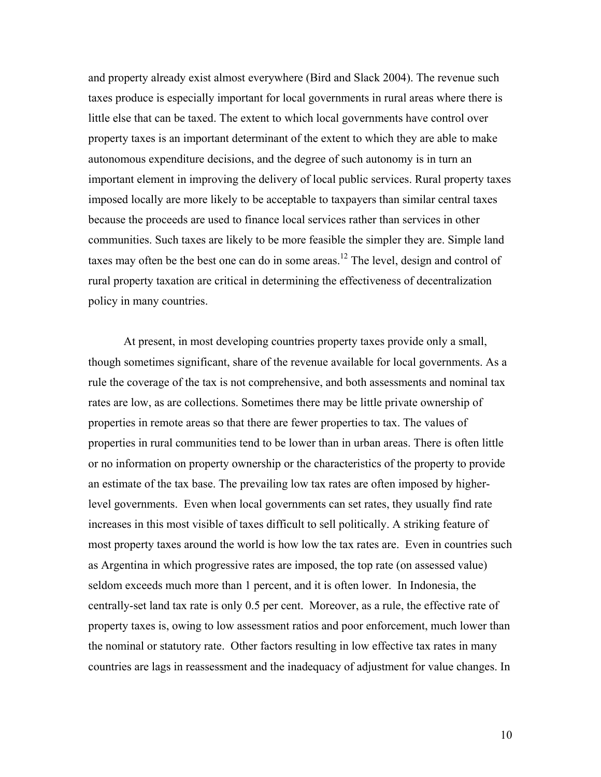and property already exist almost everywhere (Bird and Slack 2004). The revenue such taxes produce is especially important for local governments in rural areas where there is little else that can be taxed. The extent to which local governments have control over property taxes is an important determinant of the extent to which they are able to make autonomous expenditure decisions, and the degree of such autonomy is in turn an important element in improving the delivery of local public services. Rural property taxes imposed locally are more likely to be acceptable to taxpayers than similar central taxes because the proceeds are used to finance local services rather than services in other communities. Such taxes are likely to be more feasible the simpler they are. Simple land taxes may often be the best one can do in some areas.<sup>12</sup> The level, design and control of rural property taxation are critical in determining the effectiveness of decentralization policy in many countries.

At present, in most developing countries property taxes provide only a small, though sometimes significant, share of the revenue available for local governments. As a rule the coverage of the tax is not comprehensive, and both assessments and nominal tax rates are low, as are collections. Sometimes there may be little private ownership of properties in remote areas so that there are fewer properties to tax. The values of properties in rural communities tend to be lower than in urban areas. There is often little or no information on property ownership or the characteristics of the property to provide an estimate of the tax base. The prevailing low tax rates are often imposed by higherlevel governments. Even when local governments can set rates, they usually find rate increases in this most visible of taxes difficult to sell politically. A striking feature of most property taxes around the world is how low the tax rates are. Even in countries such as Argentina in which progressive rates are imposed, the top rate (on assessed value) seldom exceeds much more than 1 percent, and it is often lower. In Indonesia, the centrally-set land tax rate is only 0.5 per cent. Moreover, as a rule, the effective rate of property taxes is, owing to low assessment ratios and poor enforcement, much lower than the nominal or statutory rate. Other factors resulting in low effective tax rates in many countries are lags in reassessment and the inadequacy of adjustment for value changes. In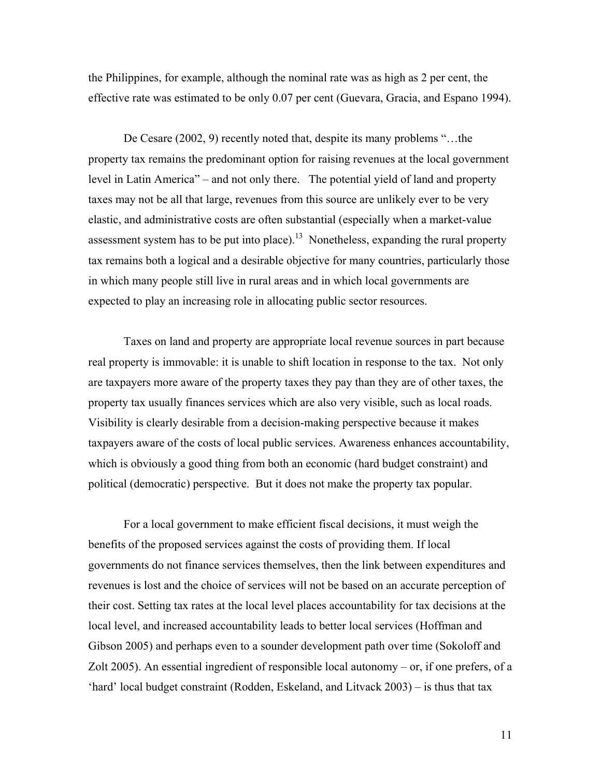the Philippines, for example, although the nominal rate was as high as 2 per cent, the effective rate was estimated to be only 0.07 per cent (Guevara, Gracia, and Espano 1994).

De Cesare (2002, 9) recently noted that, despite its many problems "…the property tax remains the predominant option for raising revenues at the local government level in Latin America" – and not only there. The potential yield of land and property taxes may not be all that large, revenues from this source are unlikely ever to be very elastic, and administrative costs are often substantial (especially when a market-value assessment system has to be put into place).<sup>13</sup> Nonetheless, expanding the rural property tax remains both a logical and a desirable objective for many countries, particularly those in which many people still live in rural areas and in which local governments are expected to play an increasing role in allocating public sector resources.

Taxes on land and property are appropriate local revenue sources in part because real property is immovable: it is unable to shift location in response to the tax. Not only are taxpayers more aware of the property taxes they pay than they are of other taxes, the property tax usually finances services which are also very visible, such as local roads. Visibility is clearly desirable from a decision-making perspective because it makes taxpayers aware of the costs of local public services. Awareness enhances accountability, which is obviously a good thing from both an economic (hard budget constraint) and political (democratic) perspective. But it does not make the property tax popular.

For a local government to make efficient fiscal decisions, it must weigh the benefits of the proposed services against the costs of providing them. If local governments do not finance services themselves, then the link between expenditures and revenues is lost and the choice of services will not be based on an accurate perception of their cost. Setting tax rates at the local level places accountability for tax decisions at the local level, and increased accountability leads to better local services (Hoffman and Gibson 2005) and perhaps even to a sounder development path over time (Sokoloff and Zolt 2005). An essential ingredient of responsible local autonomy – or, if one prefers, of a 'hard' local budget constraint (Rodden, Eskeland, and Litvack 2003) – is thus that tax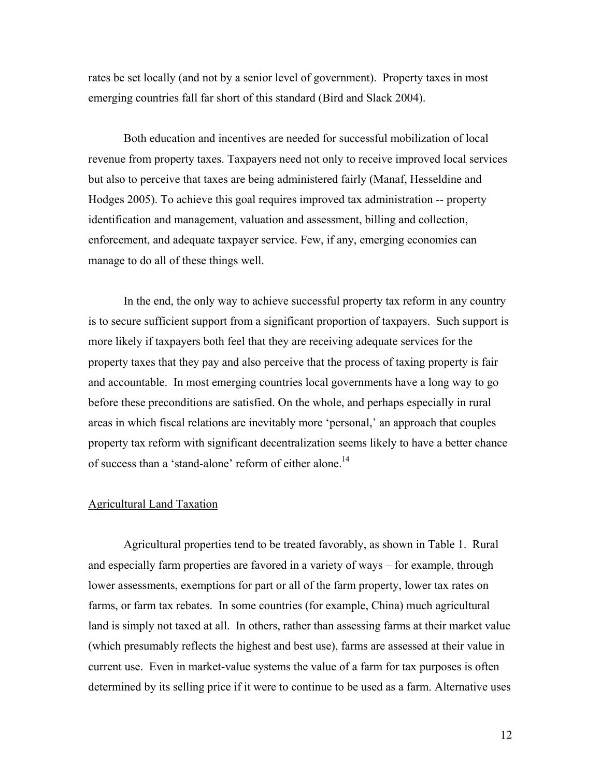rates be set locally (and not by a senior level of government). Property taxes in most emerging countries fall far short of this standard (Bird and Slack 2004).

Both education and incentives are needed for successful mobilization of local revenue from property taxes. Taxpayers need not only to receive improved local services but also to perceive that taxes are being administered fairly (Manaf, Hesseldine and Hodges 2005). To achieve this goal requires improved tax administration -- property identification and management, valuation and assessment, billing and collection, enforcement, and adequate taxpayer service. Few, if any, emerging economies can manage to do all of these things well.

In the end, the only way to achieve successful property tax reform in any country is to secure sufficient support from a significant proportion of taxpayers. Such support is more likely if taxpayers both feel that they are receiving adequate services for the property taxes that they pay and also perceive that the process of taxing property is fair and accountable. In most emerging countries local governments have a long way to go before these preconditions are satisfied. On the whole, and perhaps especially in rural areas in which fiscal relations are inevitably more 'personal,' an approach that couples property tax reform with significant decentralization seems likely to have a better chance of success than a 'stand-alone' reform of either alone.<sup>14</sup>

# Agricultural Land Taxation

Agricultural properties tend to be treated favorably, as shown in Table 1. Rural and especially farm properties are favored in a variety of ways – for example, through lower assessments, exemptions for part or all of the farm property, lower tax rates on farms, or farm tax rebates. In some countries (for example, China) much agricultural land is simply not taxed at all. In others, rather than assessing farms at their market value (which presumably reflects the highest and best use), farms are assessed at their value in current use. Even in market-value systems the value of a farm for tax purposes is often determined by its selling price if it were to continue to be used as a farm. Alternative uses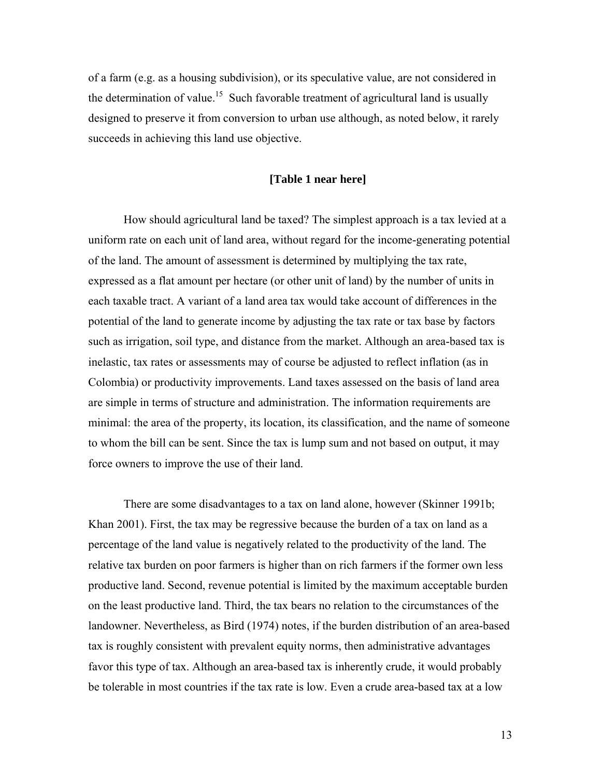of a farm (e.g. as a housing subdivision), or its speculative value, are not considered in the determination of value.<sup>15</sup> Such favorable treatment of agricultural land is usually designed to preserve it from conversion to urban use although, as noted below, it rarely succeeds in achieving this land use objective.

#### **[Table 1 near here]**

How should agricultural land be taxed? The simplest approach is a tax levied at a uniform rate on each unit of land area, without regard for the income-generating potential of the land. The amount of assessment is determined by multiplying the tax rate, expressed as a flat amount per hectare (or other unit of land) by the number of units in each taxable tract. A variant of a land area tax would take account of differences in the potential of the land to generate income by adjusting the tax rate or tax base by factors such as irrigation, soil type, and distance from the market. Although an area-based tax is inelastic, tax rates or assessments may of course be adjusted to reflect inflation (as in Colombia) or productivity improvements. Land taxes assessed on the basis of land area are simple in terms of structure and administration. The information requirements are minimal: the area of the property, its location, its classification, and the name of someone to whom the bill can be sent. Since the tax is lump sum and not based on output, it may force owners to improve the use of their land.

There are some disadvantages to a tax on land alone, however (Skinner 1991b; Khan 2001). First, the tax may be regressive because the burden of a tax on land as a percentage of the land value is negatively related to the productivity of the land. The relative tax burden on poor farmers is higher than on rich farmers if the former own less productive land. Second, revenue potential is limited by the maximum acceptable burden on the least productive land. Third, the tax bears no relation to the circumstances of the landowner. Nevertheless, as Bird (1974) notes, if the burden distribution of an area-based tax is roughly consistent with prevalent equity norms, then administrative advantages favor this type of tax. Although an area-based tax is inherently crude, it would probably be tolerable in most countries if the tax rate is low. Even a crude area-based tax at a low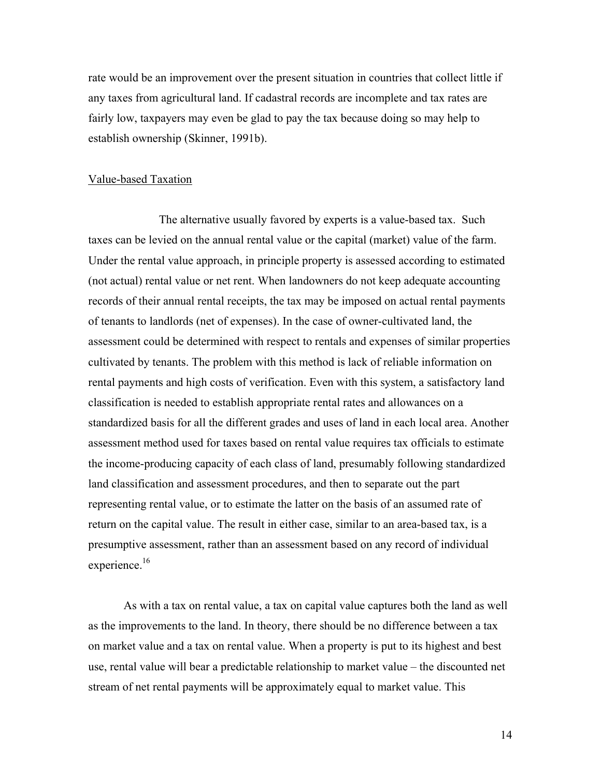rate would be an improvement over the present situation in countries that collect little if any taxes from agricultural land. If cadastral records are incomplete and tax rates are fairly low, taxpayers may even be glad to pay the tax because doing so may help to establish ownership (Skinner, 1991b).

#### Value-based Taxation

The alternative usually favored by experts is a value-based tax. Such taxes can be levied on the annual rental value or the capital (market) value of the farm. Under the rental value approach, in principle property is assessed according to estimated (not actual) rental value or net rent. When landowners do not keep adequate accounting records of their annual rental receipts, the tax may be imposed on actual rental payments of tenants to landlords (net of expenses). In the case of owner-cultivated land, the assessment could be determined with respect to rentals and expenses of similar properties cultivated by tenants. The problem with this method is lack of reliable information on rental payments and high costs of verification. Even with this system, a satisfactory land classification is needed to establish appropriate rental rates and allowances on a standardized basis for all the different grades and uses of land in each local area. Another assessment method used for taxes based on rental value requires tax officials to estimate the income-producing capacity of each class of land, presumably following standardized land classification and assessment procedures, and then to separate out the part representing rental value, or to estimate the latter on the basis of an assumed rate of return on the capital value. The result in either case, similar to an area-based tax, is a presumptive assessment, rather than an assessment based on any record of individual experience.<sup>16</sup>

As with a tax on rental value, a tax on capital value captures both the land as well as the improvements to the land. In theory, there should be no difference between a tax on market value and a tax on rental value. When a property is put to its highest and best use, rental value will bear a predictable relationship to market value – the discounted net stream of net rental payments will be approximately equal to market value. This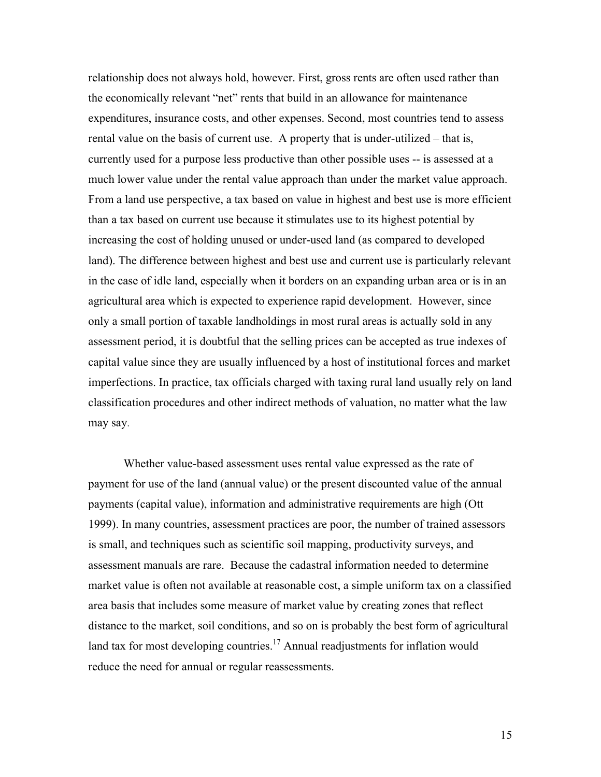relationship does not always hold, however. First, gross rents are often used rather than the economically relevant "net" rents that build in an allowance for maintenance expenditures, insurance costs, and other expenses. Second, most countries tend to assess rental value on the basis of current use. A property that is under-utilized – that is, currently used for a purpose less productive than other possible uses -- is assessed at a much lower value under the rental value approach than under the market value approach. From a land use perspective, a tax based on value in highest and best use is more efficient than a tax based on current use because it stimulates use to its highest potential by increasing the cost of holding unused or under-used land (as compared to developed land). The difference between highest and best use and current use is particularly relevant in the case of idle land, especially when it borders on an expanding urban area or is in an agricultural area which is expected to experience rapid development. However, since only a small portion of taxable landholdings in most rural areas is actually sold in any assessment period, it is doubtful that the selling prices can be accepted as true indexes of capital value since they are usually influenced by a host of institutional forces and market imperfections. In practice, tax officials charged with taxing rural land usually rely on land classification procedures and other indirect methods of valuation, no matter what the law may say.

Whether value-based assessment uses rental value expressed as the rate of payment for use of the land (annual value) or the present discounted value of the annual payments (capital value), information and administrative requirements are high (Ott 1999). In many countries, assessment practices are poor, the number of trained assessors is small, and techniques such as scientific soil mapping, productivity surveys, and assessment manuals are rare. Because the cadastral information needed to determine market value is often not available at reasonable cost, a simple uniform tax on a classified area basis that includes some measure of market value by creating zones that reflect distance to the market, soil conditions, and so on is probably the best form of agricultural land tax for most developing countries.<sup>17</sup> Annual readjustments for inflation would reduce the need for annual or regular reassessments.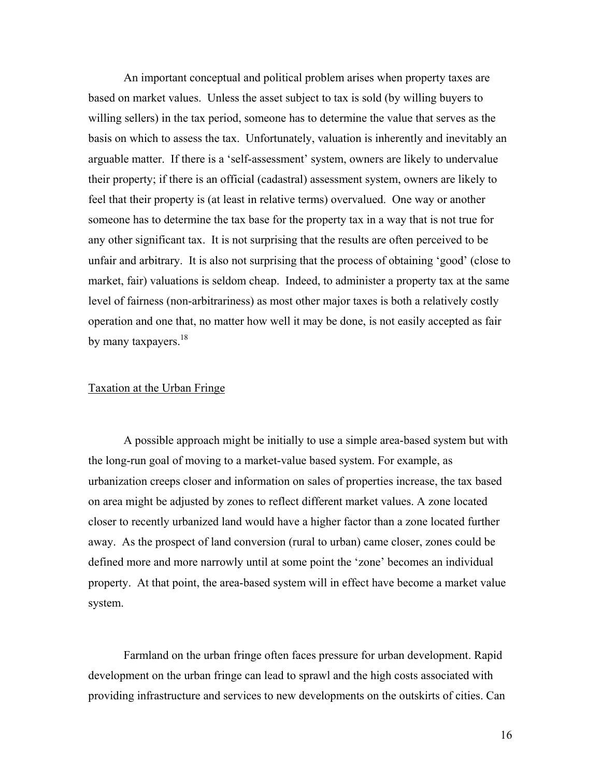An important conceptual and political problem arises when property taxes are based on market values. Unless the asset subject to tax is sold (by willing buyers to willing sellers) in the tax period, someone has to determine the value that serves as the basis on which to assess the tax. Unfortunately, valuation is inherently and inevitably an arguable matter. If there is a 'self-assessment' system, owners are likely to undervalue their property; if there is an official (cadastral) assessment system, owners are likely to feel that their property is (at least in relative terms) overvalued. One way or another someone has to determine the tax base for the property tax in a way that is not true for any other significant tax. It is not surprising that the results are often perceived to be unfair and arbitrary. It is also not surprising that the process of obtaining 'good' (close to market, fair) valuations is seldom cheap. Indeed, to administer a property tax at the same level of fairness (non-arbitrariness) as most other major taxes is both a relatively costly operation and one that, no matter how well it may be done, is not easily accepted as fair by many taxpayers. $18$ 

### Taxation at the Urban Fringe

A possible approach might be initially to use a simple area-based system but with the long-run goal of moving to a market-value based system. For example, as urbanization creeps closer and information on sales of properties increase, the tax based on area might be adjusted by zones to reflect different market values. A zone located closer to recently urbanized land would have a higher factor than a zone located further away. As the prospect of land conversion (rural to urban) came closer, zones could be defined more and more narrowly until at some point the 'zone' becomes an individual property. At that point, the area-based system will in effect have become a market value system.

Farmland on the urban fringe often faces pressure for urban development. Rapid development on the urban fringe can lead to sprawl and the high costs associated with providing infrastructure and services to new developments on the outskirts of cities. Can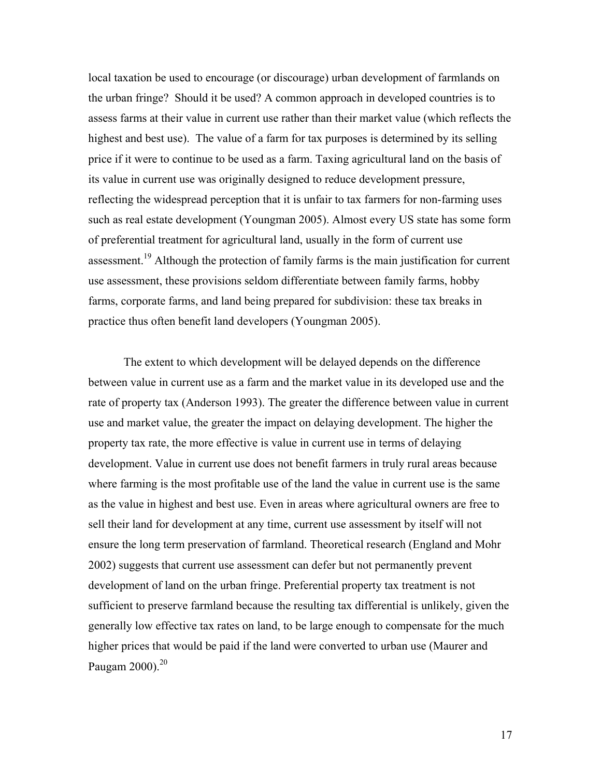local taxation be used to encourage (or discourage) urban development of farmlands on the urban fringe? Should it be used? A common approach in developed countries is to assess farms at their value in current use rather than their market value (which reflects the highest and best use). The value of a farm for tax purposes is determined by its selling price if it were to continue to be used as a farm. Taxing agricultural land on the basis of its value in current use was originally designed to reduce development pressure, reflecting the widespread perception that it is unfair to tax farmers for non-farming uses such as real estate development (Youngman 2005). Almost every US state has some form of preferential treatment for agricultural land, usually in the form of current use assessment[.19](#page-32-18) Although the protection of family farms is the main justification for current use assessment, these provisions seldom differentiate between family farms, hobby farms, corporate farms, and land being prepared for subdivision: these tax breaks in practice thus often benefit land developers (Youngman 2005).

The extent to which development will be delayed depends on the difference between value in current use as a farm and the market value in its developed use and the rate of property tax (Anderson 1993). The greater the difference between value in current use and market value, the greater the impact on delaying development. The higher the property tax rate, the more effective is value in current use in terms of delaying development. Value in current use does not benefit farmers in truly rural areas because where farming is the most profitable use of the land the value in current use is the same as the value in highest and best use. Even in areas where agricultural owners are free to sell their land for development at any time, current use assessment by itself will not ensure the long term preservation of farmland. Theoretical research (England and Mohr 2002) suggests that current use assessment can defer but not permanently prevent development of land on the urban fringe. Preferential property tax treatment is not sufficient to preserve farmland because the resulting tax differential is unlikely, given the generally low effective tax rates on land, to be large enough to compensate for the much higher prices that would be paid if the land were converted to urban use (Maurer and Paugam  $2000$  $2000$ ).<sup>20</sup>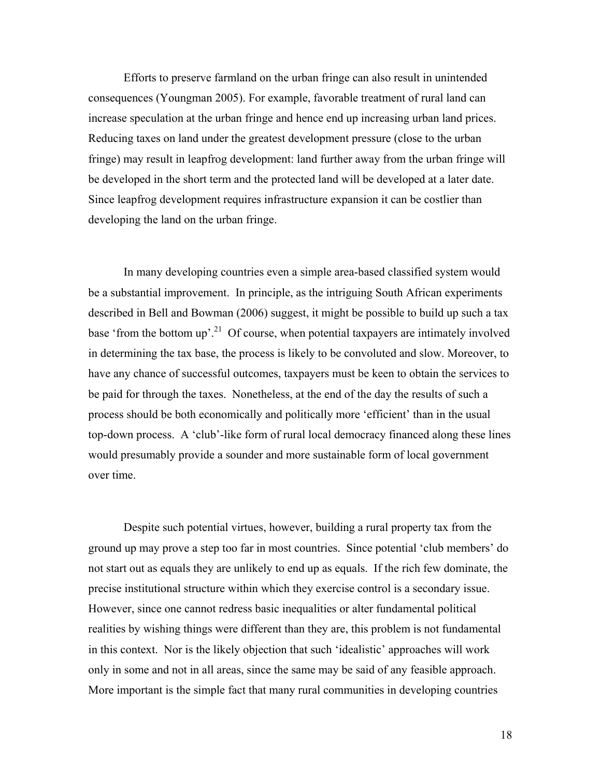Efforts to preserve farmland on the urban fringe can also result in unintended consequences (Youngman 2005). For example, favorable treatment of rural land can increase speculation at the urban fringe and hence end up increasing urban land prices. Reducing taxes on land under the greatest development pressure (close to the urban fringe) may result in leapfrog development: land further away from the urban fringe will be developed in the short term and the protected land will be developed at a later date. Since leapfrog development requires infrastructure expansion it can be costlier than developing the land on the urban fringe.

In many developing countries even a simple area-based classified system would be a substantial improvement. In principle, as the intriguing South African experiments described in Bell and Bowman (2006) suggest, it might be possible to build up such a tax base 'from the bottom up'.<sup>21</sup> Of course, when potential taxpayers are intimately involved in determining the tax base, the process is likely to be convoluted and slow. Moreover, to have any chance of successful outcomes, taxpayers must be keen to obtain the services to be paid for through the taxes. Nonetheless, at the end of the day the results of such a process should be both economically and politically more 'efficient' than in the usual top-down process. A 'club'-like form of rural local democracy financed along these lines would presumably provide a sounder and more sustainable form of local government over time.

Despite such potential virtues, however, building a rural property tax from the ground up may prove a step too far in most countries. Since potential 'club members' do not start out as equals they are unlikely to end up as equals. If the rich few dominate, the precise institutional structure within which they exercise control is a secondary issue. However, since one cannot redress basic inequalities or alter fundamental political realities by wishing things were different than they are, this problem is not fundamental in this context. Nor is the likely objection that such 'idealistic' approaches will work only in some and not in all areas, since the same may be said of any feasible approach. More important is the simple fact that many rural communities in developing countries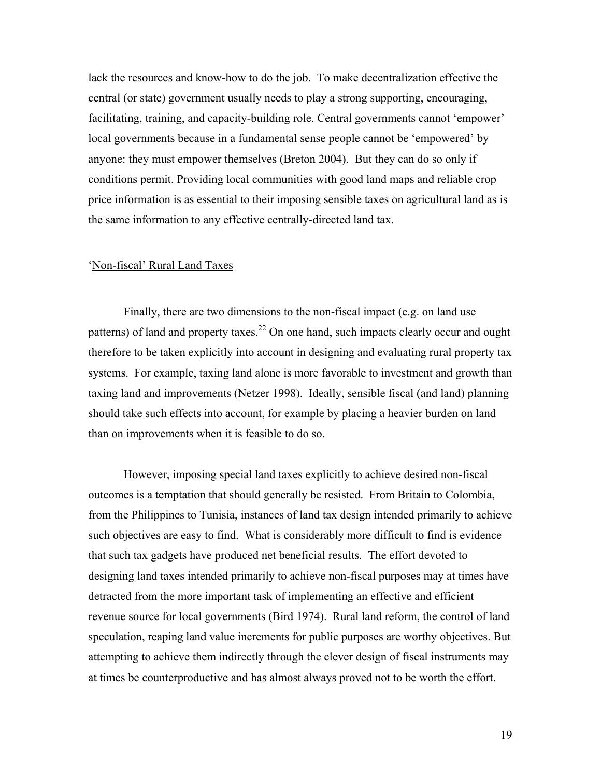lack the resources and know-how to do the job. To make decentralization effective the central (or state) government usually needs to play a strong supporting, encouraging, facilitating, training, and capacity-building role. Central governments cannot 'empower' local governments because in a fundamental sense people cannot be 'empowered' by anyone: they must empower themselves (Breton 2004). But they can do so only if conditions permit. Providing local communities with good land maps and reliable crop price information is as essential to their imposing sensible taxes on agricultural land as is the same information to any effective centrally-directed land tax.

## 'Non-fiscal' Rural Land Taxes

Finally, there are two dimensions to the non-fiscal impact (e.g. on land use patterns) of land and property taxes.<sup>22</sup> On one hand, such impacts clearly occur and ought therefore to be taken explicitly into account in designing and evaluating rural property tax systems. For example, taxing land alone is more favorable to investment and growth than taxing land and improvements (Netzer 1998). Ideally, sensible fiscal (and land) planning should take such effects into account, for example by placing a heavier burden on land than on improvements when it is feasible to do so.

However, imposing special land taxes explicitly to achieve desired non-fiscal outcomes is a temptation that should generally be resisted. From Britain to Colombia, from the Philippines to Tunisia, instances of land tax design intended primarily to achieve such objectives are easy to find. What is considerably more difficult to find is evidence that such tax gadgets have produced net beneficial results. The effort devoted to designing land taxes intended primarily to achieve non-fiscal purposes may at times have detracted from the more important task of implementing an effective and efficient revenue source for local governments (Bird 1974). Rural land reform, the control of land speculation, reaping land value increments for public purposes are worthy objectives. But attempting to achieve them indirectly through the clever design of fiscal instruments may at times be counterproductive and has almost always proved not to be worth the effort.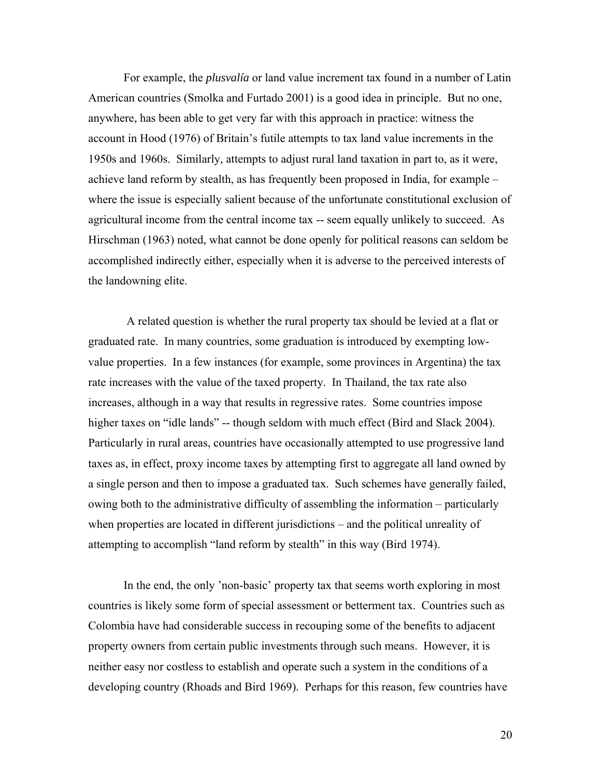For example, the *plusvalía* or land value increment tax found in a number of Latin American countries (Smolka and Furtado 2001) is a good idea in principle. But no one, anywhere, has been able to get very far with this approach in practice: witness the account in Hood (1976) of Britain's futile attempts to tax land value increments in the 1950s and 1960s. Similarly, attempts to adjust rural land taxation in part to, as it were, achieve land reform by stealth, as has frequently been proposed in India, for example – where the issue is especially salient because of the unfortunate constitutional exclusion of agricultural income from the central income tax -- seem equally unlikely to succeed. As Hirschman (1963) noted, what cannot be done openly for political reasons can seldom be accomplished indirectly either, especially when it is adverse to the perceived interests of the landowning elite.

 A related question is whether the rural property tax should be levied at a flat or graduated rate. In many countries, some graduation is introduced by exempting lowvalue properties. In a few instances (for example, some provinces in Argentina) the tax rate increases with the value of the taxed property. In Thailand, the tax rate also increases, although in a way that results in regressive rates. Some countries impose higher taxes on "idle lands" -- though seldom with much effect (Bird and Slack 2004). Particularly in rural areas, countries have occasionally attempted to use progressive land taxes as, in effect, proxy income taxes by attempting first to aggregate all land owned by a single person and then to impose a graduated tax. Such schemes have generally failed, owing both to the administrative difficulty of assembling the information – particularly when properties are located in different jurisdictions – and the political unreality of attempting to accomplish "land reform by stealth" in this way (Bird 1974).

In the end, the only 'non-basic' property tax that seems worth exploring in most countries is likely some form of special assessment or betterment tax. Countries such as Colombia have had considerable success in recouping some of the benefits to adjacent property owners from certain public investments through such means. However, it is neither easy nor costless to establish and operate such a system in the conditions of a developing country (Rhoads and Bird 1969). Perhaps for this reason, few countries have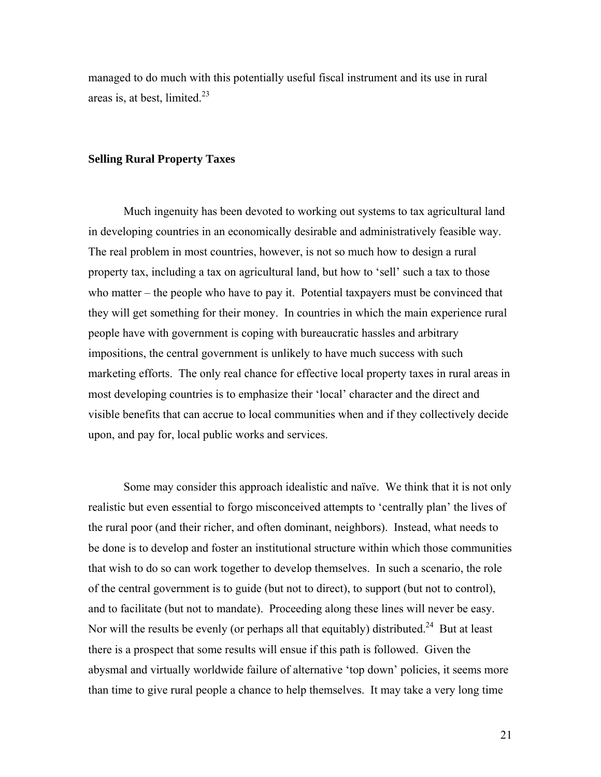managed to do much with this potentially useful fiscal instrument and its use in rural areas is, at best, limited. $23$ 

### **Selling Rural Property Taxes**

Much ingenuity has been devoted to working out systems to tax agricultural land in developing countries in an economically desirable and administratively feasible way. The real problem in most countries, however, is not so much how to design a rural property tax, including a tax on agricultural land, but how to 'sell' such a tax to those who matter – the people who have to pay it. Potential taxpayers must be convinced that they will get something for their money. In countries in which the main experience rural people have with government is coping with bureaucratic hassles and arbitrary impositions, the central government is unlikely to have much success with such marketing efforts. The only real chance for effective local property taxes in rural areas in most developing countries is to emphasize their 'local' character and the direct and visible benefits that can accrue to local communities when and if they collectively decide upon, and pay for, local public works and services.

Some may consider this approach idealistic and naïve. We think that it is not only realistic but even essential to forgo misconceived attempts to 'centrally plan' the lives of the rural poor (and their richer, and often dominant, neighbors). Instead, what needs to be done is to develop and foster an institutional structure within which those communities that wish to do so can work together to develop themselves. In such a scenario, the role of the central government is to guide (but not to direct), to support (but not to control), and to facilitate (but not to mandate). Proceeding along these lines will never be easy. Nor will the results be evenly (or perhaps all that equitably) distributed.<sup>24</sup> But at least there is a prospect that some results will ensue if this path is followed. Given the abysmal and virtually worldwide failure of alternative 'top down' policies, it seems more than time to give rural people a chance to help themselves. It may take a very long time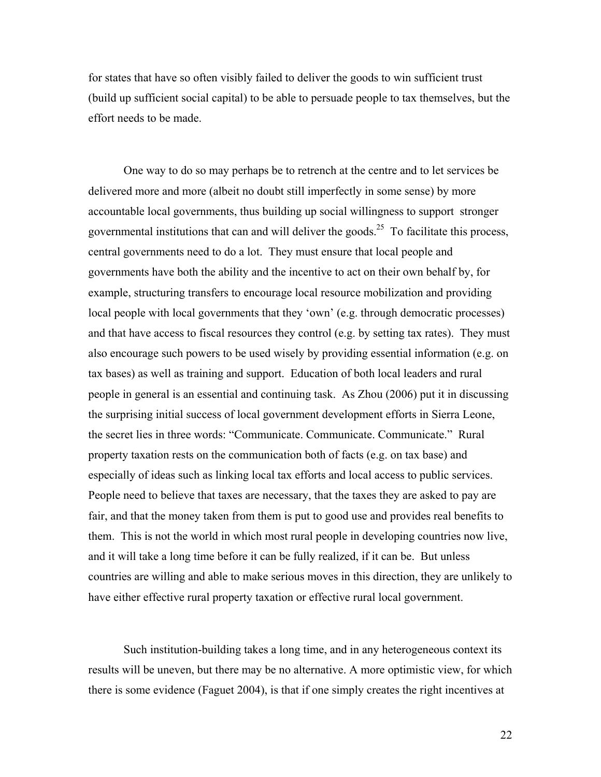for states that have so often visibly failed to deliver the goods to win sufficient trust (build up sufficient social capital) to be able to persuade people to tax themselves, but the effort needs to be made.

One way to do so may perhaps be to retrench at the centre and to let services be delivered more and more (albeit no doubt still imperfectly in some sense) by more accountable local governments, thus building up social willingness to support stronger governmental institutions that can and will deliver the goods.<sup>25</sup> To facilitate this process, central governments need to do a lot. They must ensure that local people and governments have both the ability and the incentive to act on their own behalf by, for example, structuring transfers to encourage local resource mobilization and providing local people with local governments that they 'own' (e.g. through democratic processes) and that have access to fiscal resources they control (e.g. by setting tax rates). They must also encourage such powers to be used wisely by providing essential information (e.g. on tax bases) as well as training and support. Education of both local leaders and rural people in general is an essential and continuing task. As Zhou (2006) put it in discussing the surprising initial success of local government development efforts in Sierra Leone, the secret lies in three words: "Communicate. Communicate. Communicate." Rural property taxation rests on the communication both of facts (e.g. on tax base) and especially of ideas such as linking local tax efforts and local access to public services. People need to believe that taxes are necessary, that the taxes they are asked to pay are fair, and that the money taken from them is put to good use and provides real benefits to them. This is not the world in which most rural people in developing countries now live, and it will take a long time before it can be fully realized, if it can be. But unless countries are willing and able to make serious moves in this direction, they are unlikely to have either effective rural property taxation or effective rural local government.

Such institution-building takes a long time, and in any heterogeneous context its results will be uneven, but there may be no alternative. A more optimistic view, for which there is some evidence (Faguet 2004), is that if one simply creates the right incentives at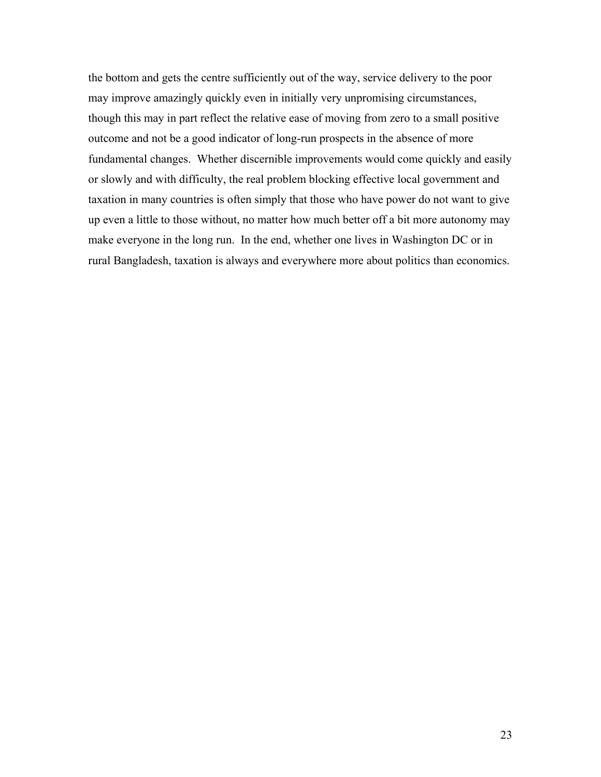the bottom and gets the centre sufficiently out of the way, service delivery to the poor may improve amazingly quickly even in initially very unpromising circumstances, though this may in part reflect the relative ease of moving from zero to a small positive outcome and not be a good indicator of long-run prospects in the absence of more fundamental changes. Whether discernible improvements would come quickly and easily or slowly and with difficulty, the real problem blocking effective local government and taxation in many countries is often simply that those who have power do not want to give up even a little to those without, no matter how much better off a bit more autonomy may make everyone in the long run. In the end, whether one lives in Washington DC or in rural Bangladesh, taxation is always and everywhere more about politics than economics.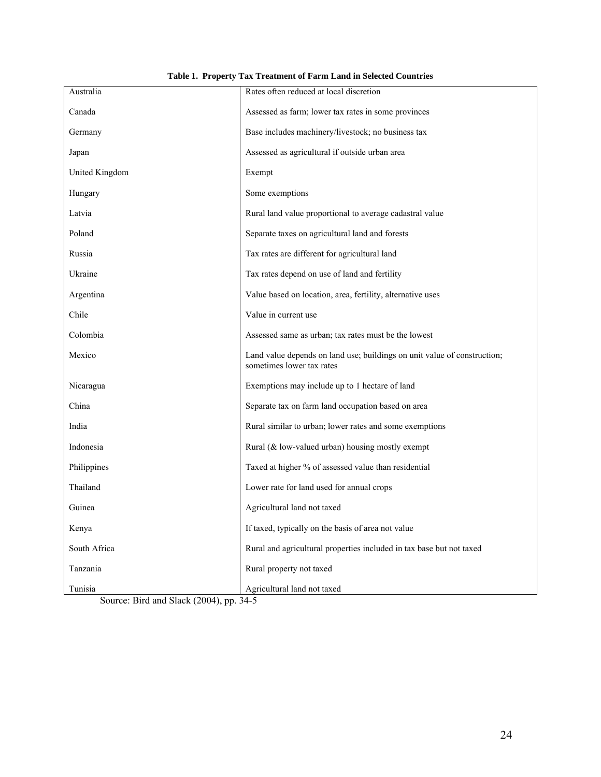| Australia         | Rates often reduced at local discretion                                                               |
|-------------------|-------------------------------------------------------------------------------------------------------|
| Canada            | Assessed as farm; lower tax rates in some provinces                                                   |
| Germany           | Base includes machinery/livestock; no business tax                                                    |
| Japan             | Assessed as agricultural if outside urban area                                                        |
| United Kingdom    | Exempt                                                                                                |
| Hungary           | Some exemptions                                                                                       |
| Latvia            | Rural land value proportional to average cadastral value                                              |
| Poland            | Separate taxes on agricultural land and forests                                                       |
| Russia            | Tax rates are different for agricultural land                                                         |
| Ukraine           | Tax rates depend on use of land and fertility                                                         |
| Argentina         | Value based on location, area, fertility, alternative uses                                            |
| Chile             | Value in current use                                                                                  |
| Colombia          | Assessed same as urban; tax rates must be the lowest                                                  |
| Mexico            | Land value depends on land use; buildings on unit value of construction;<br>sometimes lower tax rates |
| Nicaragua         | Exemptions may include up to 1 hectare of land                                                        |
| China             | Separate tax on farm land occupation based on area                                                    |
| India             | Rural similar to urban; lower rates and some exemptions                                               |
| Indonesia         | Rural (& low-valued urban) housing mostly exempt                                                      |
| Philippines       | Taxed at higher % of assessed value than residential                                                  |
| Thailand          | Lower rate for land used for annual crops                                                             |
| Guinea            | Agricultural land not taxed                                                                           |
| Kenya             | If taxed, typically on the basis of area not value                                                    |
| South Africa      | Rural and agricultural properties included in tax base but not taxed                                  |
| Tanzania          | Rural property not taxed                                                                              |
| Tunisia<br>(2001) | Agricultural land not taxed                                                                           |

**Table 1. Property Tax Treatment of Farm Land in Selected Countries**

Source: Bird and Slack (2004), pp. 34-5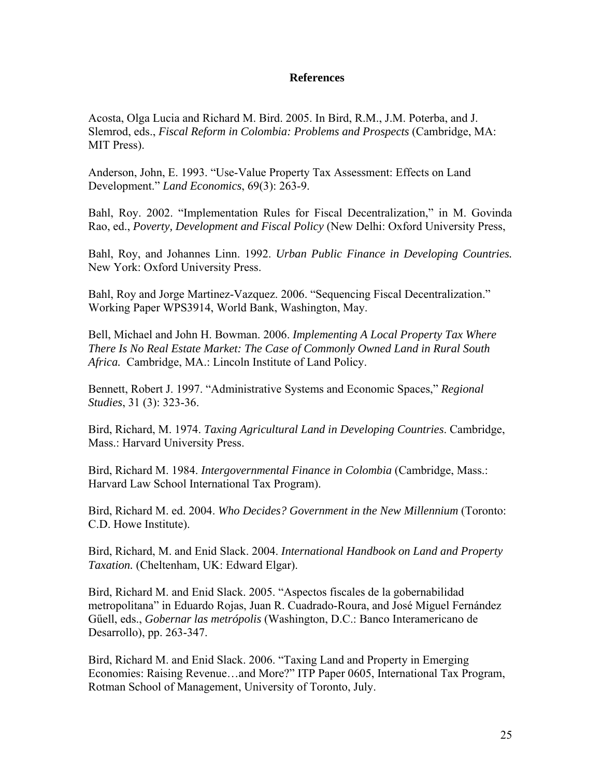## **References**

Acosta, Olga Lucia and Richard M. Bird. 2005. In Bird, R.M., J.M. Poterba, and J. Slemrod, eds., *Fiscal Reform in Colombia: Problems and Prospects* (Cambridge, MA: MIT Press).

Anderson, John, E. 1993. "Use-Value Property Tax Assessment: Effects on Land Development." *Land Economics*, 69(3): 263-9.

Bahl, Roy. 2002. "Implementation Rules for Fiscal Decentralization," in M. Govinda Rao, ed., *Poverty, Development and Fiscal Policy* (New Delhi: Oxford University Press,

Bahl, Roy, and Johannes Linn. 1992. *Urban Public Finance in Developing Countries.*  New York: Oxford University Press.

Bahl, Roy and Jorge Martinez-Vazquez. 2006. "Sequencing Fiscal Decentralization." Working Paper WPS3914, World Bank, Washington, May.

Bell, Michael and John H. Bowman. 2006. *Implementing A Local Property Tax Where There Is No Real Estate Market: The Case of Commonly Owned Land in Rural South Africa.* Cambridge, MA.: Lincoln Institute of Land Policy.

Bennett, Robert J. 1997. "Administrative Systems and Economic Spaces," *Regional Studies*, 31 (3): 323-36.

Bird, Richard, M. 1974. *Taxing Agricultural Land in Developing Countries*. Cambridge, Mass.: Harvard University Press.

Bird, Richard M. 1984. *Intergovernmental Finance in Colombia* (Cambridge, Mass.: Harvard Law School International Tax Program).

Bird, Richard M. ed. 2004. *Who Decides? Government in the New Millennium* (Toronto: C.D. Howe Institute).

Bird, Richard, M. and Enid Slack. 2004. *International Handbook on Land and Property Taxation.* (Cheltenham, UK: Edward Elgar).

Bird, Richard M. and Enid Slack. 2005. "Aspectos fiscales de la gobernabilidad metropolitana" in Eduardo Rojas, Juan R. Cuadrado-Roura, and José Miguel Fernández Gűell, eds., *Gobernar las metrópolis* (Washington, D.C.: Banco Interamericano de Desarrollo), pp. 263-347.

Bird, Richard M. and Enid Slack. 2006. "Taxing Land and Property in Emerging Economies: Raising Revenue…and More?" ITP Paper 0605, International Tax Program, Rotman School of Management, University of Toronto, July.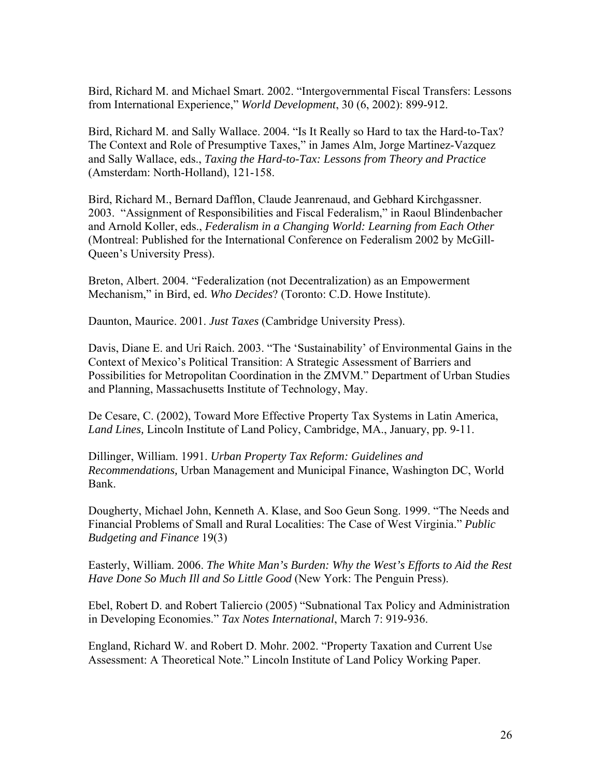Bird, Richard M. and Michael Smart. 2002. "Intergovernmental Fiscal Transfers: Lessons from International Experience," *World Development*, 30 (6, 2002): 899-912.

Bird, Richard M. and Sally Wallace. 2004. "Is It Really so Hard to tax the Hard-to-Tax? The Context and Role of Presumptive Taxes," in James Alm, Jorge Martinez-Vazquez and Sally Wallace, eds., *Taxing the Hard-to-Tax: Lessons from Theory and Practice* (Amsterdam: North-Holland), 121-158.

Bird, Richard M., Bernard Dafflon, Claude Jeanrenaud, and Gebhard Kirchgassner. 2003. "Assignment of Responsibilities and Fiscal Federalism," in Raoul Blindenbacher and Arnold Koller, eds., *Federalism in a Changing World: Learning from Each Other* (Montreal: Published for the International Conference on Federalism 2002 by McGill-Queen's University Press).

Breton, Albert. 2004. "Federalization (not Decentralization) as an Empowerment Mechanism," in Bird, ed. *Who Decides*? (Toronto: C.D. Howe Institute).

Daunton, Maurice. 2001. *Just Taxes* (Cambridge University Press).

Davis, Diane E. and Uri Raich. 2003. "The 'Sustainability' of Environmental Gains in the Context of Mexico's Political Transition: A Strategic Assessment of Barriers and Possibilities for Metropolitan Coordination in the ZMVM." Department of Urban Studies and Planning, Massachusetts Institute of Technology, May.

De Cesare, C. (2002), Toward More Effective Property Tax Systems in Latin America, *Land Lines,* Lincoln Institute of Land Policy, Cambridge, MA., January, pp. 9-11.

Dillinger, William. 1991. *Urban Property Tax Reform: Guidelines and Recommendations,* Urban Management and Municipal Finance, Washington DC, World Bank.

Dougherty, Michael John, Kenneth A. Klase, and Soo Geun Song. 1999. "The Needs and Financial Problems of Small and Rural Localities: The Case of West Virginia." *Public Budgeting and Finance* 19(3)

Easterly, William. 2006. *The White Man's Burden: Why the West's Efforts to Aid the Rest Have Done So Much Ill and So Little Good* (New York: The Penguin Press).

Ebel, Robert D. and Robert Taliercio (2005) "Subnational Tax Policy and Administration in Developing Economies." *Tax Notes International*, March 7: 919-936.

England, Richard W. and Robert D. Mohr. 2002. "Property Taxation and Current Use Assessment: A Theoretical Note." Lincoln Institute of Land Policy Working Paper.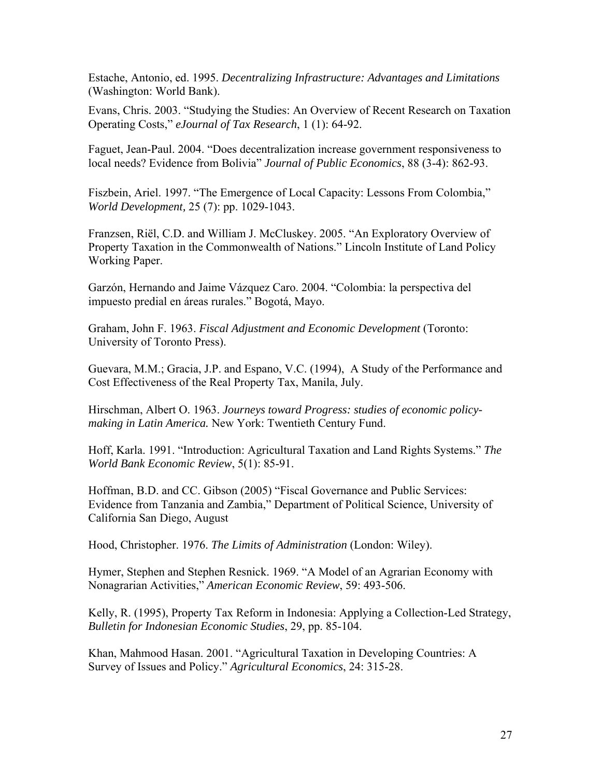Estache, Antonio, ed. 1995. *Decentralizing Infrastructure: Advantages and Limitations* (Washington: World Bank).

Evans, Chris. 2003. "Studying the Studies: An Overview of Recent Research on Taxation Operating Costs," *eJournal of Tax Research*, 1 (1): 64-92.

Faguet, Jean-Paul. 2004. "Does decentralization increase government responsiveness to local needs? Evidence from Bolivia" *Journal of Public Economics*, 88 (3-4): 862-93.

Fiszbein, Ariel. 1997. "The Emergence of Local Capacity: Lessons From Colombia," *[World Development](http://scholarsportal.info.myaccess.library.utoronto.ca/cgi-bin/sciserv.pl?collection=journals&journal=0305750x),* 25 (7): pp. 1029-1043.

Franzsen, Riël, C.D. and William J. McCluskey. 2005. "An Exploratory Overview of Property Taxation in the Commonwealth of Nations." Lincoln Institute of Land Policy Working Paper.

Garzón, Hernando and Jaime Vázquez Caro. 2004. "Colombia: la perspectiva del impuesto predial en áreas rurales." Bogotá, Mayo.

Graham, John F. 1963. *Fiscal Adjustment and Economic Development* (Toronto: University of Toronto Press).

Guevara, M.M.; Gracia, J.P. and Espano, V.C. (1994), A Study of the Performance and Cost Effectiveness of the Real Property Tax, Manila, July.

Hirschman, Albert O. 1963. *Journeys toward Progress: studies of economic policymaking in Latin America.* New York: Twentieth Century Fund.

Hoff, Karla. 1991. "Introduction: Agricultural Taxation and Land Rights Systems." *The World Bank Economic Review*, 5(1): 85-91.

Hoffman, B.D. and CC. Gibson (2005) "Fiscal Governance and Public Services: Evidence from Tanzania and Zambia," Department of Political Science, University of California San Diego, August

Hood, Christopher. 1976. *The Limits of Administration* (London: Wiley).

Hymer, Stephen and Stephen Resnick. 1969. "A Model of an Agrarian Economy with Nonagrarian Activities," *American Economic Review*, 59: 493-506.

Kelly, R. (1995), Property Tax Reform in Indonesia: Applying a Collection-Led Strategy, *Bulletin for Indonesian Economic Studies*, 29, pp. 85-104.

Khan, Mahmood Hasan. 2001. "Agricultural Taxation in Developing Countries: A Survey of Issues and Policy." *Agricultural Economics*, 24: 315-28.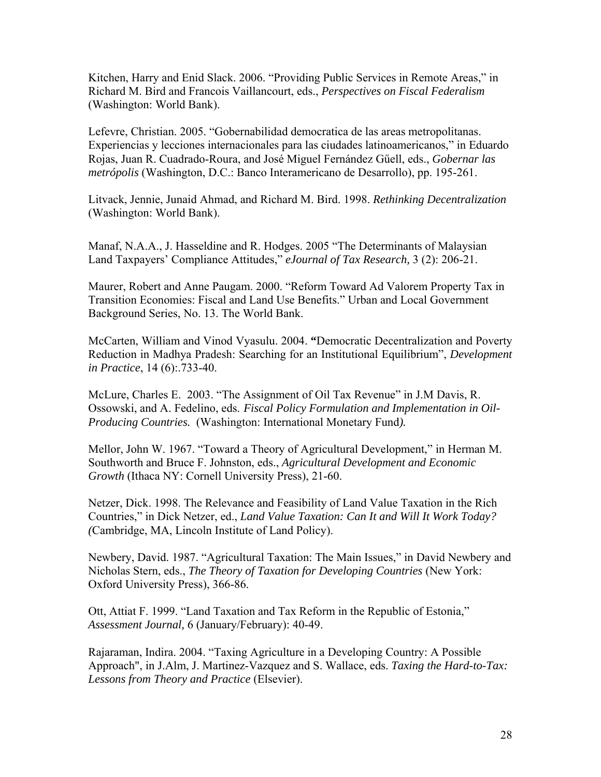Kitchen, Harry and Enid Slack. 2006. "Providing Public Services in Remote Areas," in Richard M. Bird and Francois Vaillancourt, eds., *Perspectives on Fiscal Federalism* (Washington: World Bank).

Lefevre, Christian. 2005. "Gobernabilidad democratica de las areas metropolitanas. Experiencias y lecciones internacionales para las ciudades latinoamericanos," in Eduardo Rojas, Juan R. Cuadrado-Roura, and José Miguel Fernández Gűell, eds., *Gobernar las metrópolis* (Washington, D.C.: Banco Interamericano de Desarrollo), pp. 195-261.

Litvack, Jennie, Junaid Ahmad, and Richard M. Bird. 1998. *Rethinking Decentralization* (Washington: World Bank).

Manaf, N.A.A., J. Hasseldine and R. Hodges. 2005 "The Determinants of Malaysian Land Taxpayers' Compliance Attitudes," *eJournal of Tax Research,* 3 (2): 206-21.

Maurer, Robert and Anne Paugam. 2000. "Reform Toward Ad Valorem Property Tax in Transition Economies: Fiscal and Land Use Benefits." Urban and Local Government Background Series, No. 13. The World Bank.

McCarten, William and Vinod Vyasulu. 2004. **"**Democratic Decentralization and Poverty Reduction in Madhya Pradesh: Searching for an Institutional Equilibrium", *Development in Practice*, 14 (6):.733-40.

McLure, Charles E. 2003. "The Assignment of Oil Tax Revenue" in J.M Davis, R. Ossowski, and A. Fedelino, eds. *Fiscal Policy Formulation and Implementation in Oil-Producing Countries.* (Washington: International Monetary Fund*).*

Mellor, John W. 1967. "Toward a Theory of Agricultural Development," in Herman M. Southworth and Bruce F. Johnston, eds., *Agricultural Development and Economic Growth* (Ithaca NY: Cornell University Press), 21-60.

Netzer, Dick. 1998. The Relevance and Feasibility of Land Value Taxation in the Rich Countries," in Dick Netzer, ed., *Land Value Taxation: Can It and Will It Work Today? (*Cambridge, MA, Lincoln Institute of Land Policy).

Newbery, David. 1987. "Agricultural Taxation: The Main Issues," in David Newbery and Nicholas Stern, eds., *The Theory of Taxation for Developing Countries* (New York: Oxford University Press), 366-86.

Ott, Attiat F. 1999. "Land Taxation and Tax Reform in the Republic of Estonia," *Assessment Journal,* 6 (January/February): 40-49.

Rajaraman, Indira. 2004. "Taxing Agriculture in a Developing Country: A Possible Approach", in J.Alm, J. Martinez-Vazquez and S. Wallace, eds. *Taxing the Hard-to-Tax: Lessons from Theory and Practice* (Elsevier).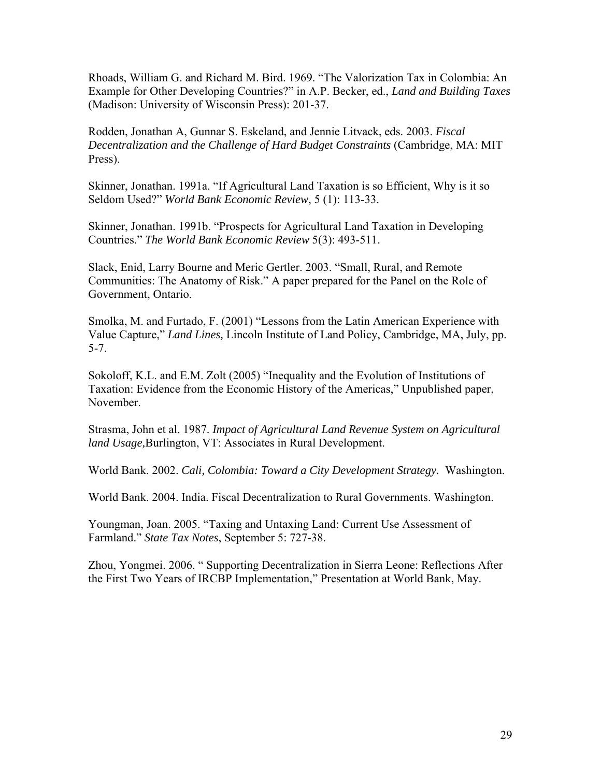Rhoads, William G. and Richard M. Bird. 1969. "The Valorization Tax in Colombia: An Example for Other Developing Countries?" in A.P. Becker, ed., *Land and Building Taxes* (Madison: University of Wisconsin Press): 201-37.

Rodden, Jonathan A, Gunnar S. Eskeland, and Jennie Litvack, eds. 2003. *Fiscal Decentralization and the Challenge of Hard Budget Constraints* (Cambridge, MA: MIT Press).

Skinner, Jonathan. 1991a. "If Agricultural Land Taxation is so Efficient, Why is it so Seldom Used?" *World Bank Economic Review*, 5 (1): 113-33.

Skinner, Jonathan. 1991b. "Prospects for Agricultural Land Taxation in Developing Countries." *The World Bank Economic Review* 5(3): 493-511.

Slack, Enid, Larry Bourne and Meric Gertler. 2003. "Small, Rural, and Remote Communities: The Anatomy of Risk." A paper prepared for the Panel on the Role of Government, Ontario.

Smolka, M. and Furtado, F. (2001) "Lessons from the Latin American Experience with Value Capture," *Land Lines,* Lincoln Institute of Land Policy, Cambridge, MA, July, pp. 5-7.

Sokoloff, K.L. and E.M. Zolt (2005) "Inequality and the Evolution of Institutions of Taxation: Evidence from the Economic History of the Americas," Unpublished paper, November.

Strasma, John et al. 1987. *Impact of Agricultural Land Revenue System on Agricultural land Usage,*Burlington, VT: Associates in Rural Development.

World Bank. 2002. *Cali, Colombia: Toward a City Development Strategy.* Washington.

World Bank. 2004. India. Fiscal Decentralization to Rural Governments. Washington.

Youngman, Joan. 2005. "Taxing and Untaxing Land: Current Use Assessment of Farmland." *State Tax Notes*, September 5: 727-38.

Zhou, Yongmei. 2006. " Supporting Decentralization in Sierra Leone: Reflections After the First Two Years of IRCBP Implementation," Presentation at World Bank, May.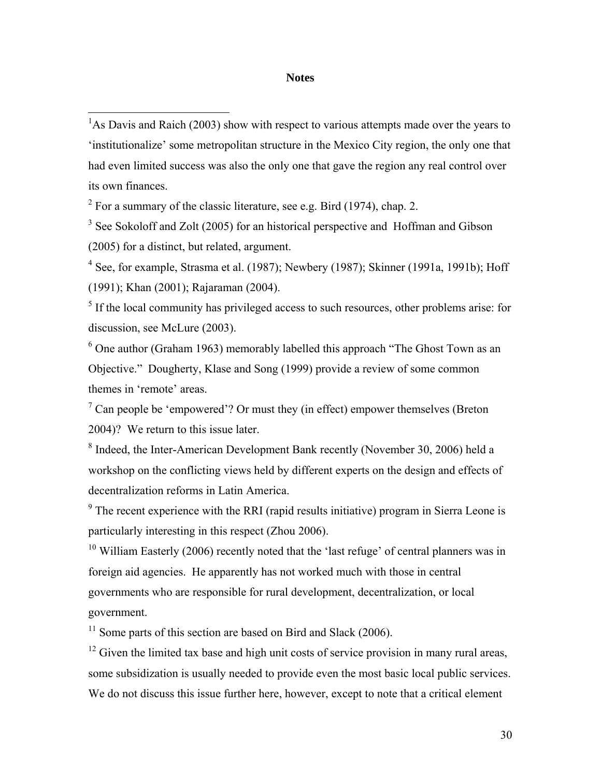#### **Notes**

 $2^2$  For a summary of the classic literature, see e.g. Bird (1974), chap. 2.

 $\overline{a}$ 

<sup>3</sup> See Sokoloff and Zolt (2005) for an historical perspective and Hoffman and Gibson (2005) for a distinct, but related, argument.

 $4$  See, for example, Strasma et al. (1987); Newbery (1987); Skinner (1991a, 1991b); Hoff (1991); Khan (2001); Rajaraman (2004).

 $<sup>5</sup>$  If the local community has privileged access to such resources, other problems arise: for</sup> discussion, see McLure (2003).

 $6$  One author (Graham 1963) memorably labelled this approach "The Ghost Town as an Objective." Dougherty, Klase and Song (1999) provide a review of some common themes in 'remote' areas.

 $7$  Can people be 'empowered'? Or must they (in effect) empower themselves (Breton 2004)? We return to this issue later.

<sup>8</sup> Indeed, the Inter-American Development Bank recently (November 30, 2006) held a workshop on the conflicting views held by different experts on the design and effects of decentralization reforms in Latin America.

 $9<sup>9</sup>$  The recent experience with the RRI (rapid results initiative) program in Sierra Leone is particularly interesting in this respect (Zhou 2006).

 $10$  William Easterly (2006) recently noted that the 'last refuge' of central planners was in foreign aid agencies. He apparently has not worked much with those in central governments who are responsible for rural development, decentralization, or local government.

 $11$  Some parts of this section are based on Bird and Slack (2006).

 $12$  Given the limited tax base and high unit costs of service provision in many rural areas, some subsidization is usually needed to provide even the most basic local public services. We do not discuss this issue further here, however, except to note that a critical element

 $<sup>1</sup>$ As Davis and Raich (2003) show with respect to various attempts made over the years to</sup> 'institutionalize' some metropolitan structure in the Mexico City region, the only one that had even limited success was also the only one that gave the region any real control over its own finances.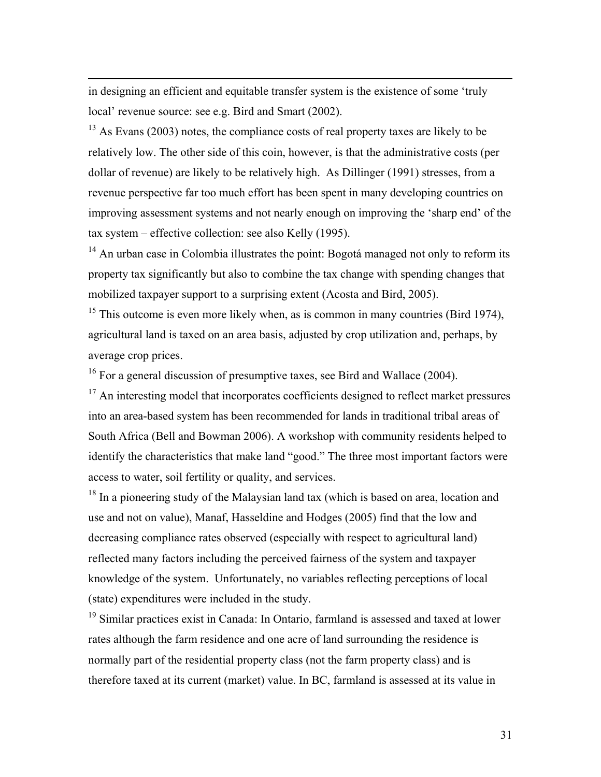in designing an efficient and equitable transfer system is the existence of some 'truly local' revenue source: see e.g. Bird and Smart (2002).

 $\overline{a}$ 

 $13$  As Evans (2003) notes, the compliance costs of real property taxes are likely to be relatively low. The other side of this coin, however, is that the administrative costs (per dollar of revenue) are likely to be relatively high. As Dillinger (1991) stresses, from a revenue perspective far too much effort has been spent in many developing countries on improving assessment systems and not nearly enough on improving the 'sharp end' of the tax system – effective collection: see also Kelly (1995).

<sup>14</sup> An urban case in Colombia illustrates the point: Bogotá managed not only to reform its property tax significantly but also to combine the tax change with spending changes that mobilized taxpayer support to a surprising extent (Acosta and Bird, 2005).

 $15$  This outcome is even more likely when, as is common in many countries (Bird 1974), agricultural land is taxed on an area basis, adjusted by crop utilization and, perhaps, by average crop prices.

 $^{16}$  For a general discussion of presumptive taxes, see Bird and Wallace (2004).

<sup>17</sup> An interesting model that incorporates coefficients designed to reflect market pressures into an area-based system has been recommended for lands in traditional tribal areas of South Africa (Bell and Bowman 2006). A workshop with community residents helped to identify the characteristics that make land "good." The three most important factors were access to water, soil fertility or quality, and services.

 $18$  In a pioneering study of the Malaysian land tax (which is based on area, location and use and not on value), Manaf, Hasseldine and Hodges (2005) find that the low and decreasing compliance rates observed (especially with respect to agricultural land) reflected many factors including the perceived fairness of the system and taxpayer knowledge of the system. Unfortunately, no variables reflecting perceptions of local (state) expenditures were included in the study.

<sup>19</sup> Similar practices exist in Canada: In Ontario, farmland is assessed and taxed at lower rates although the farm residence and one acre of land surrounding the residence is normally part of the residential property class (not the farm property class) and is therefore taxed at its current (market) value. In BC, farmland is assessed at its value in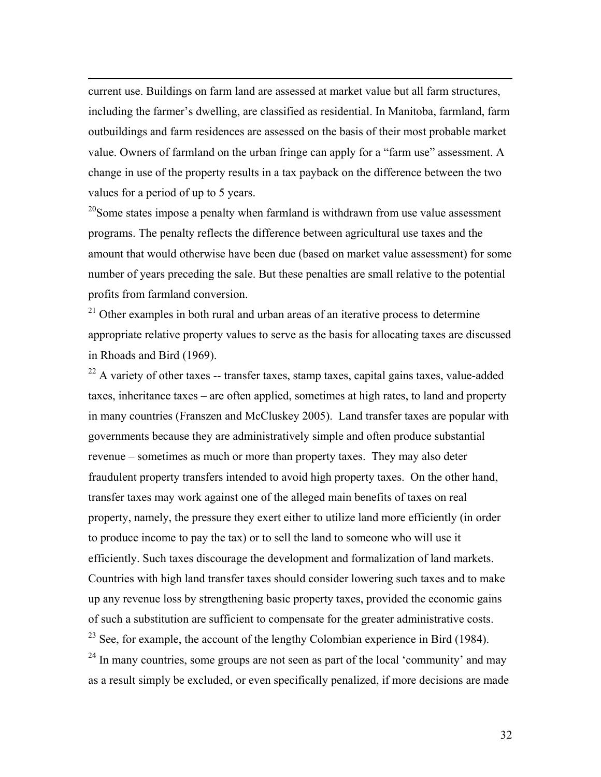current use. Buildings on farm land are assessed at market value but all farm structures, including the farmer's dwelling, are classified as residential. In Manitoba, farmland, farm outbuildings and farm residences are assessed on the basis of their most probable market value. Owners of farmland on the urban fringe can apply for a "farm use" assessment. A change in use of the property results in a tax payback on the difference between the two values for a period of up to 5 years.

 $\overline{a}$ 

 $20$ Some states impose a penalty when farmland is withdrawn from use value assessment programs. The penalty reflects the difference between agricultural use taxes and the amount that would otherwise have been due (based on market value assessment) for some number of years preceding the sale. But these penalties are small relative to the potential profits from farmland conversion.

 $21$  Other examples in both rural and urban areas of an iterative process to determine appropriate relative property values to serve as the basis for allocating taxes are discussed in Rhoads and Bird (1969).

 $22$  A variety of other taxes -- transfer taxes, stamp taxes, capital gains taxes, value-added taxes, inheritance taxes – are often applied, sometimes at high rates, to land and property in many countries (Franszen and McCluskey 2005). Land transfer taxes are popular with governments because they are administratively simple and often produce substantial revenue – sometimes as much or more than property taxes. They may also deter fraudulent property transfers intended to avoid high property taxes. On the other hand, transfer taxes may work against one of the alleged main benefits of taxes on real property, namely, the pressure they exert either to utilize land more efficiently (in order to produce income to pay the tax) or to sell the land to someone who will use it efficiently. Such taxes discourage the development and formalization of land markets. Countries with high land transfer taxes should consider lowering such taxes and to make up any revenue loss by strengthening basic property taxes, provided the economic gains of such a substitution are sufficient to compensate for the greater administrative costs.  $23$  See, for example, the account of the lengthy Colombian experience in Bird (1984).  $^{24}$  In many countries, some groups are not seen as part of the local 'community' and may as a result simply be excluded, or even specifically penalized, if more decisions are made